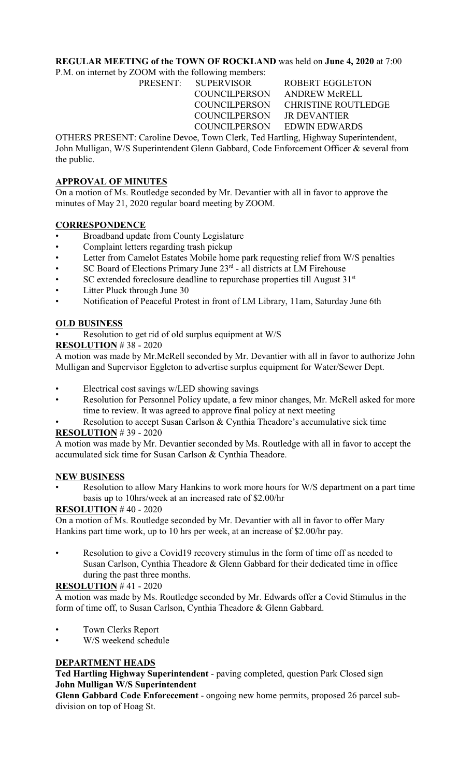# **REGULAR MEETING of the TOWN OF ROCKLAND** was held on **June 4, 2020** at 7:00

P.M. on internet by ZOOM with the following members:

COUNCILPERSON JR DEVANTIER

PRESENT: SUPERVISOR ROBERT EGGLETON COUNCILPERSON ANDREW McRELL COUNCILPERSON CHRISTINE ROUTLEDGE COUNCILPERSON EDWIN EDWARDS

OTHERS PRESENT: Caroline Devoe, Town Clerk, Ted Hartling, Highway Superintendent, John Mulligan, W/S Superintendent Glenn Gabbard, Code Enforcement Officer & several from the public.

# **APPROVAL OF MINUTES**

On a motion of Ms. Routledge seconded by Mr. Devantier with all in favor to approve the minutes of May 21, 2020 regular board meeting by ZOOM.

# **CORRESPONDENCE**

- Broadband update from County Legislature
- Complaint letters regarding trash pickup
- Letter from Camelot Estates Mobile home park requesting relief from W/S penalties
- $SC$  Board of Elections Primary June  $23<sup>rd</sup>$  all districts at LM Firehouse
- $SC$  extended foreclosure deadline to repurchase properties till August  $31<sup>st</sup>$
- Litter Pluck through June 30
- Notification of Peaceful Protest in front of LM Library, 11am, Saturday June 6th

# **OLD BUSINESS**

Resolution to get rid of old surplus equipment at W/S

**RESOLUTION** # 38 - 2020

A motion was made by Mr.McRell seconded by Mr. Devantier with all in favor to authorize John Mulligan and Supervisor Eggleton to advertise surplus equipment for Water/Sewer Dept.

- Electrical cost savings w/LED showing savings
- Resolution for Personnel Policy update, a few minor changes, Mr. McRell asked for more time to review. It was agreed to approve final policy at next meeting
- Resolution to accept Susan Carlson & Cynthia Theadore's accumulative sick time **RESOLUTION** # 39 - 2020

# A motion was made by Mr. Devantier seconded by Ms. Routledge with all in favor to accept the accumulated sick time for Susan Carlson & Cynthia Theadore.

### **NEW BUSINESS**

Resolution to allow Mary Hankins to work more hours for W/S department on a part time basis up to 10hrs/week at an increased rate of \$2.00/hr

# **RESOLUTION** # 40 - 2020

On a motion of Ms. Routledge seconded by Mr. Devantier with all in favor to offer Mary Hankins part time work, up to 10 hrs per week, at an increase of \$2.00/hr pay.

Resolution to give a Covid19 recovery stimulus in the form of time off as needed to Susan Carlson, Cynthia Theadore & Glenn Gabbard for their dedicated time in office during the past three months.

### **RESOLUTION** # 41 - 2020

A motion was made by Ms. Routledge seconded by Mr. Edwards offer a Covid Stimulus in the form of time off, to Susan Carlson, Cynthia Theadore & Glenn Gabbard.

- Town Clerks Report
- W/S weekend schedule

# **DEPARTMENT HEADS**

**Ted Hartling Highway Superintendent** - paving completed, question Park Closed sign **John Mulligan W/S Superintendent** 

**Glenn Gabbard Code Enforecement** - ongoing new home permits, proposed 26 parcel subdivision on top of Hoag St.